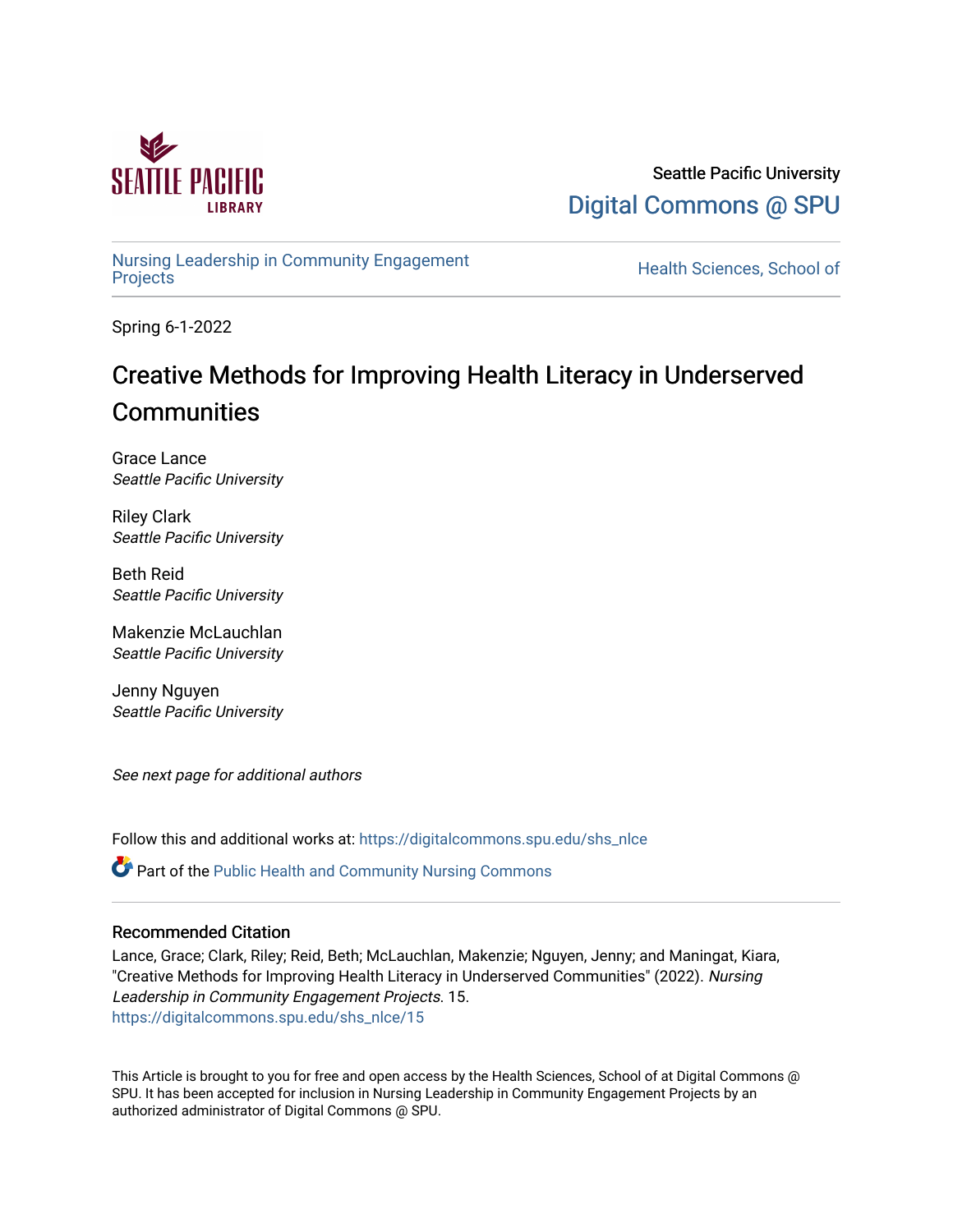

Seattle Pacific University [Digital Commons @ SPU](https://digitalcommons.spu.edu/) 

[Nursing Leadership in Community Engagement](https://digitalcommons.spu.edu/shs_nlce) 

Health Sciences, School of

Spring 6-1-2022

# Creative Methods for Improving Health Literacy in Underserved **Communities**

Grace Lance Seattle Pacific University

Riley Clark Seattle Pacific University

Beth Reid Seattle Pacific University

Makenzie McLauchlan Seattle Pacific University

Jenny Nguyen Seattle Pacific University

See next page for additional authors

Follow this and additional works at: [https://digitalcommons.spu.edu/shs\\_nlce](https://digitalcommons.spu.edu/shs_nlce?utm_source=digitalcommons.spu.edu%2Fshs_nlce%2F15&utm_medium=PDF&utm_campaign=PDFCoverPages)

Part of the [Public Health and Community Nursing Commons](https://network.bepress.com/hgg/discipline/725?utm_source=digitalcommons.spu.edu%2Fshs_nlce%2F15&utm_medium=PDF&utm_campaign=PDFCoverPages) 

## Recommended Citation

Lance, Grace; Clark, Riley; Reid, Beth; McLauchlan, Makenzie; Nguyen, Jenny; and Maningat, Kiara, "Creative Methods for Improving Health Literacy in Underserved Communities" (2022). Nursing Leadership in Community Engagement Projects. 15. [https://digitalcommons.spu.edu/shs\\_nlce/15](https://digitalcommons.spu.edu/shs_nlce/15?utm_source=digitalcommons.spu.edu%2Fshs_nlce%2F15&utm_medium=PDF&utm_campaign=PDFCoverPages) 

This Article is brought to you for free and open access by the Health Sciences, School of at Digital Commons @ SPU. It has been accepted for inclusion in Nursing Leadership in Community Engagement Projects by an authorized administrator of Digital Commons @ SPU.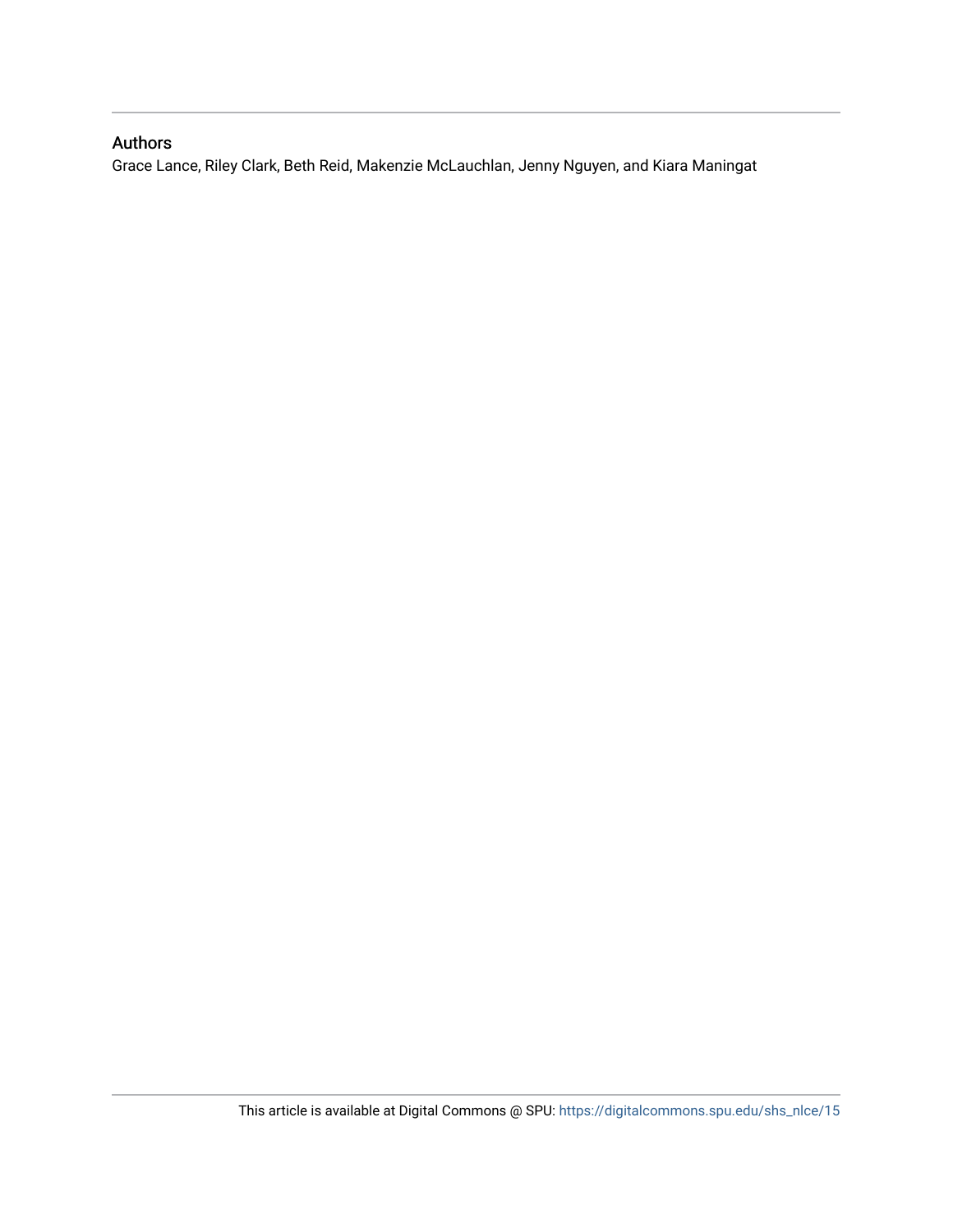# Authors

Grace Lance, Riley Clark, Beth Reid, Makenzie McLauchlan, Jenny Nguyen, and Kiara Maningat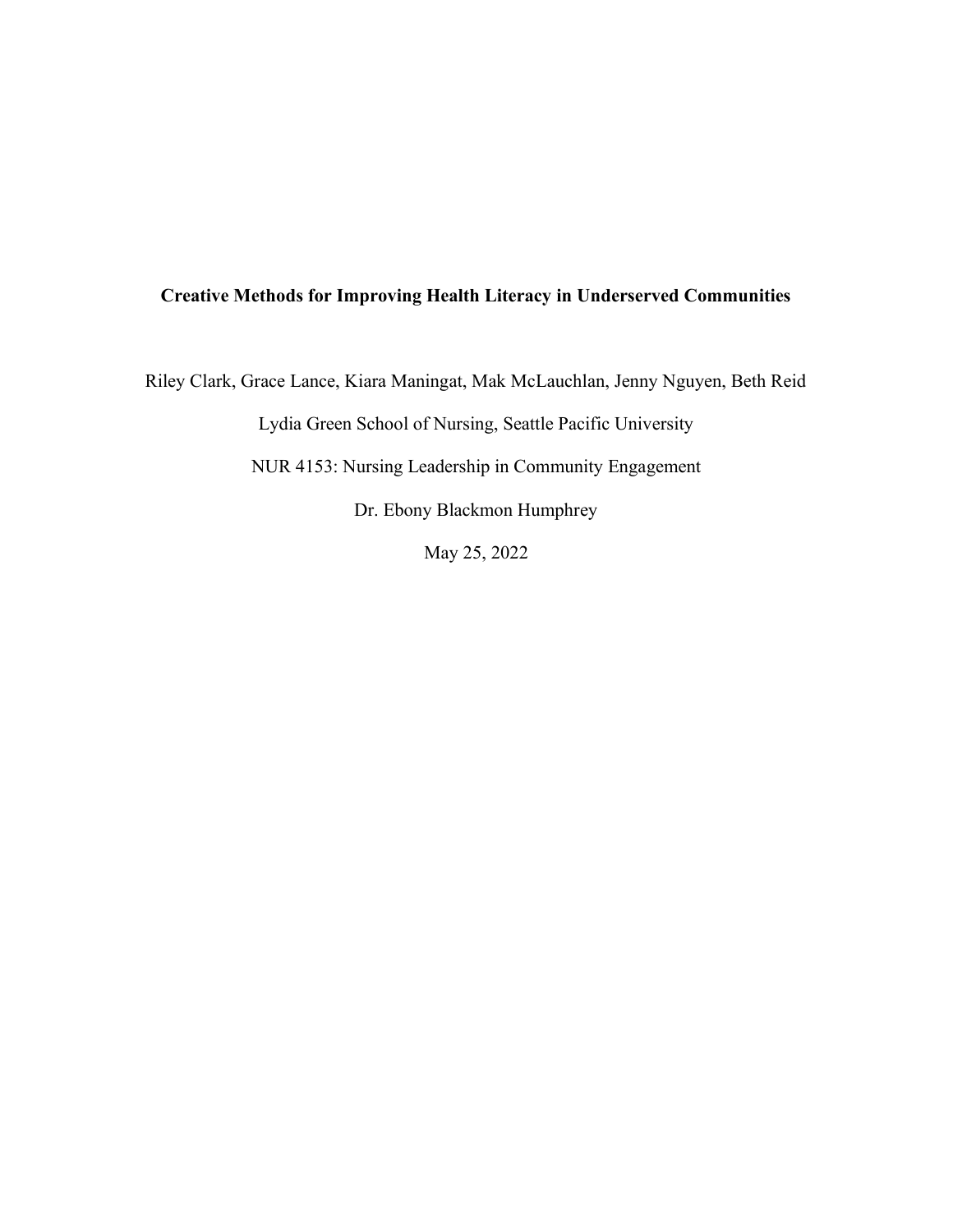# **Creative Methods for Improving Health Literacy in Underserved Communities**

Riley Clark, Grace Lance, Kiara Maningat, Mak McLauchlan, Jenny Nguyen, Beth Reid

Lydia Green School of Nursing, Seattle Pacific University

NUR 4153: Nursing Leadership in Community Engagement

Dr. Ebony Blackmon Humphrey

May 25, 2022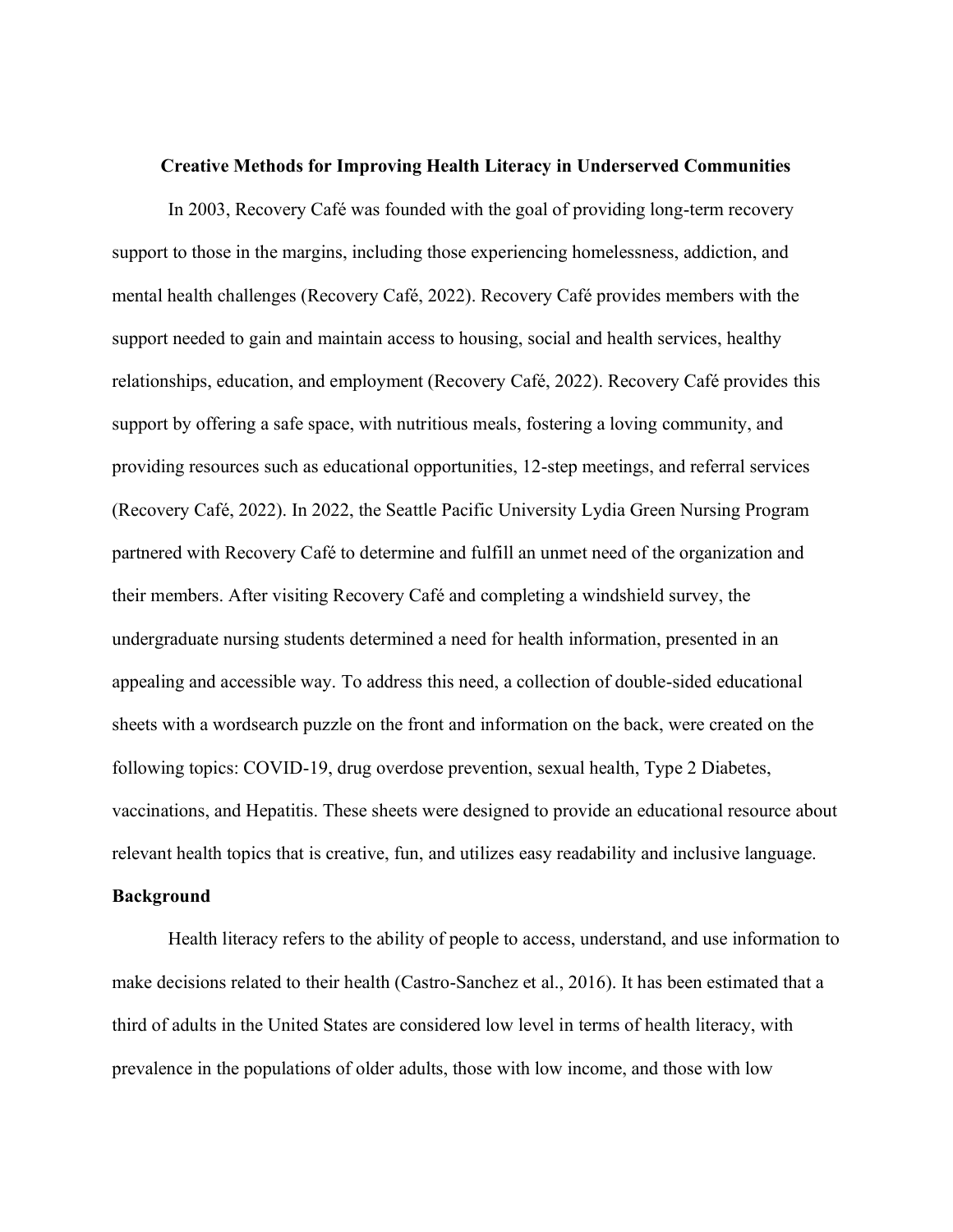#### **Creative Methods for Improving Health Literacy in Underserved Communities**

In 2003, Recovery Café was founded with the goal of providing long-term recovery support to those in the margins, including those experiencing homelessness, addiction, and mental health challenges (Recovery Café, 2022). Recovery Café provides members with the support needed to gain and maintain access to housing, social and health services, healthy relationships, education, and employment (Recovery Café, 2022). Recovery Café provides this support by offering a safe space, with nutritious meals, fostering a loving community, and providing resources such as educational opportunities, 12-step meetings, and referral services (Recovery Café, 2022). In 2022, the Seattle Pacific University Lydia Green Nursing Program partnered with Recovery Café to determine and fulfill an unmet need of the organization and their members. After visiting Recovery Café and completing a windshield survey, the undergraduate nursing students determined a need for health information, presented in an appealing and accessible way. To address this need, a collection of double-sided educational sheets with a wordsearch puzzle on the front and information on the back, were created on the following topics: COVID-19, drug overdose prevention, sexual health, Type 2 Diabetes, vaccinations, and Hepatitis. These sheets were designed to provide an educational resource about relevant health topics that is creative, fun, and utilizes easy readability and inclusive language.

## **Background**

Health literacy refers to the ability of people to access, understand, and use information to make decisions related to their health (Castro-Sanchez et al., 2016). It has been estimated that a third of adults in the United States are considered low level in terms of health literacy, with prevalence in the populations of older adults, those with low income, and those with low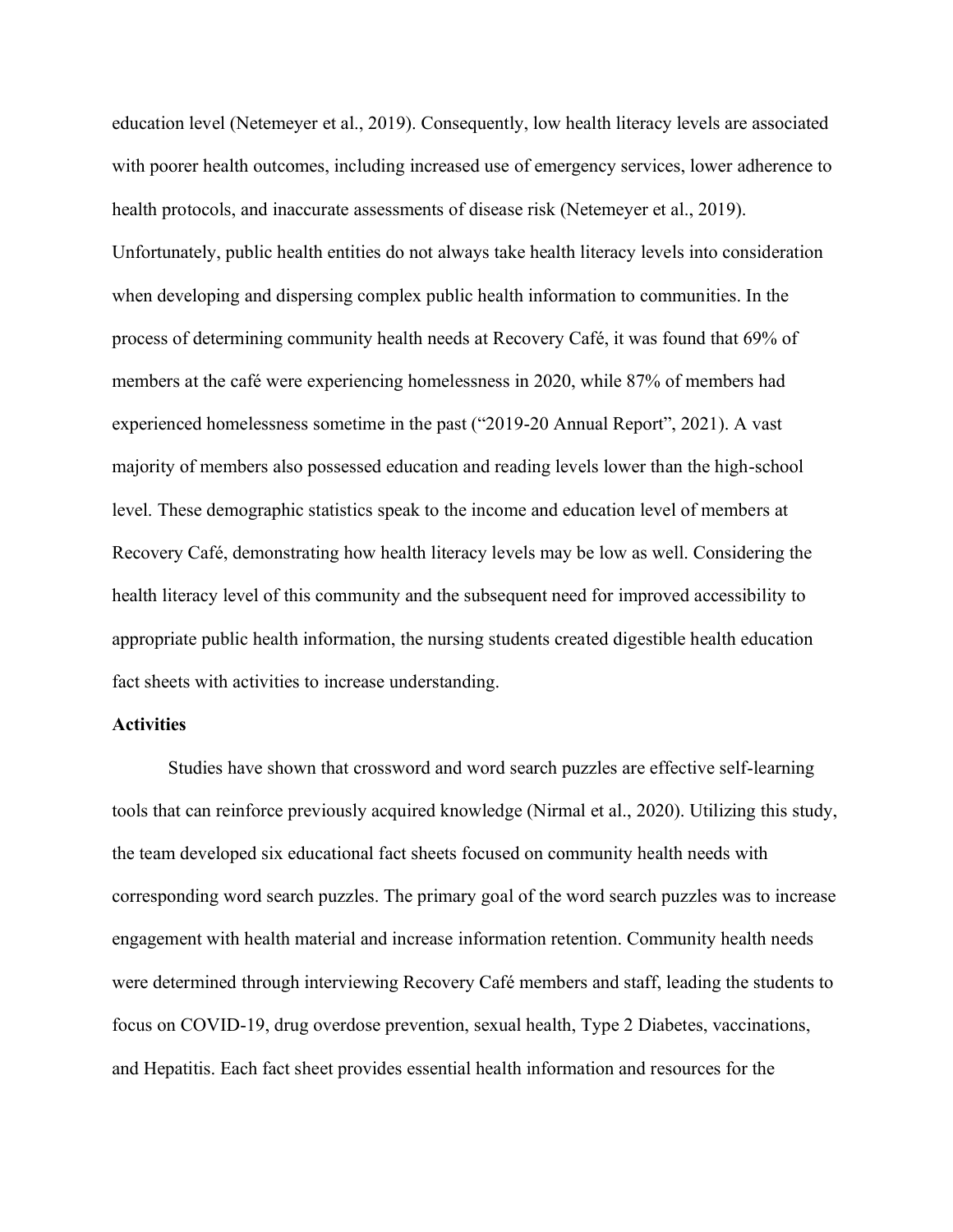education level (Netemeyer et al., 2019). Consequently, low health literacy levels are associated with poorer health outcomes, including increased use of emergency services, lower adherence to health protocols, and inaccurate assessments of disease risk (Netemeyer et al., 2019). Unfortunately, public health entities do not always take health literacy levels into consideration when developing and dispersing complex public health information to communities. In the process of determining community health needs at Recovery Café, it was found that 69% of members at the café were experiencing homelessness in 2020, while 87% of members had experienced homelessness sometime in the past ( $"2019-20$  Annual Report", 2021). A vast majority of members also possessed education and reading levels lower than the high-school level. These demographic statistics speak to the income and education level of members at Recovery Café, demonstrating how health literacy levels may be low as well. Considering the health literacy level of this community and the subsequent need for improved accessibility to appropriate public health information, the nursing students created digestible health education fact sheets with activities to increase understanding.

### **Activities**

Studies have shown that crossword and word search puzzles are effective self-learning tools that can reinforce previously acquired knowledge (Nirmal et al., 2020). Utilizing this study, the team developed six educational fact sheets focused on community health needs with corresponding word search puzzles. The primary goal of the word search puzzles was to increase engagement with health material and increase information retention. Community health needs were determined through interviewing Recovery Café members and staff, leading the students to focus on COVID-19, drug overdose prevention, sexual health, Type 2 Diabetes, vaccinations, and Hepatitis. Each fact sheet provides essential health information and resources for the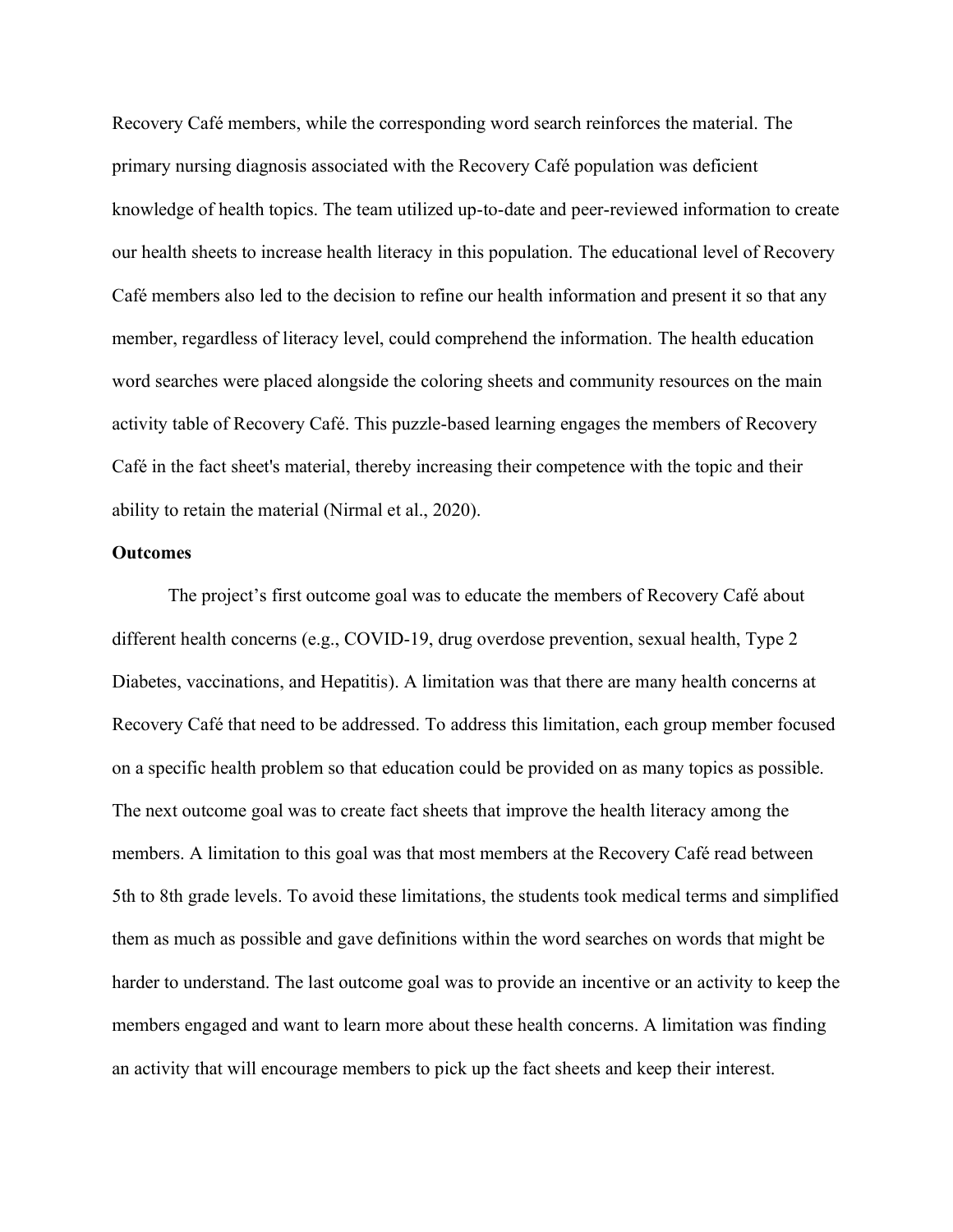Recovery Café members, while the corresponding word search reinforces the material. The primary nursing diagnosis associated with the Recovery Café population was deficient knowledge of health topics. The team utilized up-to-date and peer-reviewed information to create our health sheets to increase health literacy in this population. The educational level of Recovery Café members also led to the decision to refine our health information and present it so that any member, regardless of literacy level, could comprehend the information. The health education word searches were placed alongside the coloring sheets and community resources on the main activity table of Recovery Café. This puzzle-based learning engages the members of Recovery Café in the fact sheet's material, thereby increasing their competence with the topic and their ability to retain the material (Nirmal et al., 2020).

### **Outcomes**

The project's first outcome goal was to educate the members of Recovery Café about different health concerns (e.g., COVID-19, drug overdose prevention, sexual health, Type 2 Diabetes, vaccinations, and Hepatitis). A limitation was that there are many health concerns at Recovery Café that need to be addressed. To address this limitation, each group member focused on a specific health problem so that education could be provided on as many topics as possible. The next outcome goal was to create fact sheets that improve the health literacy among the members. A limitation to this goal was that most members at the Recovery Café read between 5th to 8th grade levels. To avoid these limitations, the students took medical terms and simplified them as much as possible and gave definitions within the word searches on words that might be harder to understand. The last outcome goal was to provide an incentive or an activity to keep the members engaged and want to learn more about these health concerns. A limitation was finding an activity that will encourage members to pick up the fact sheets and keep their interest.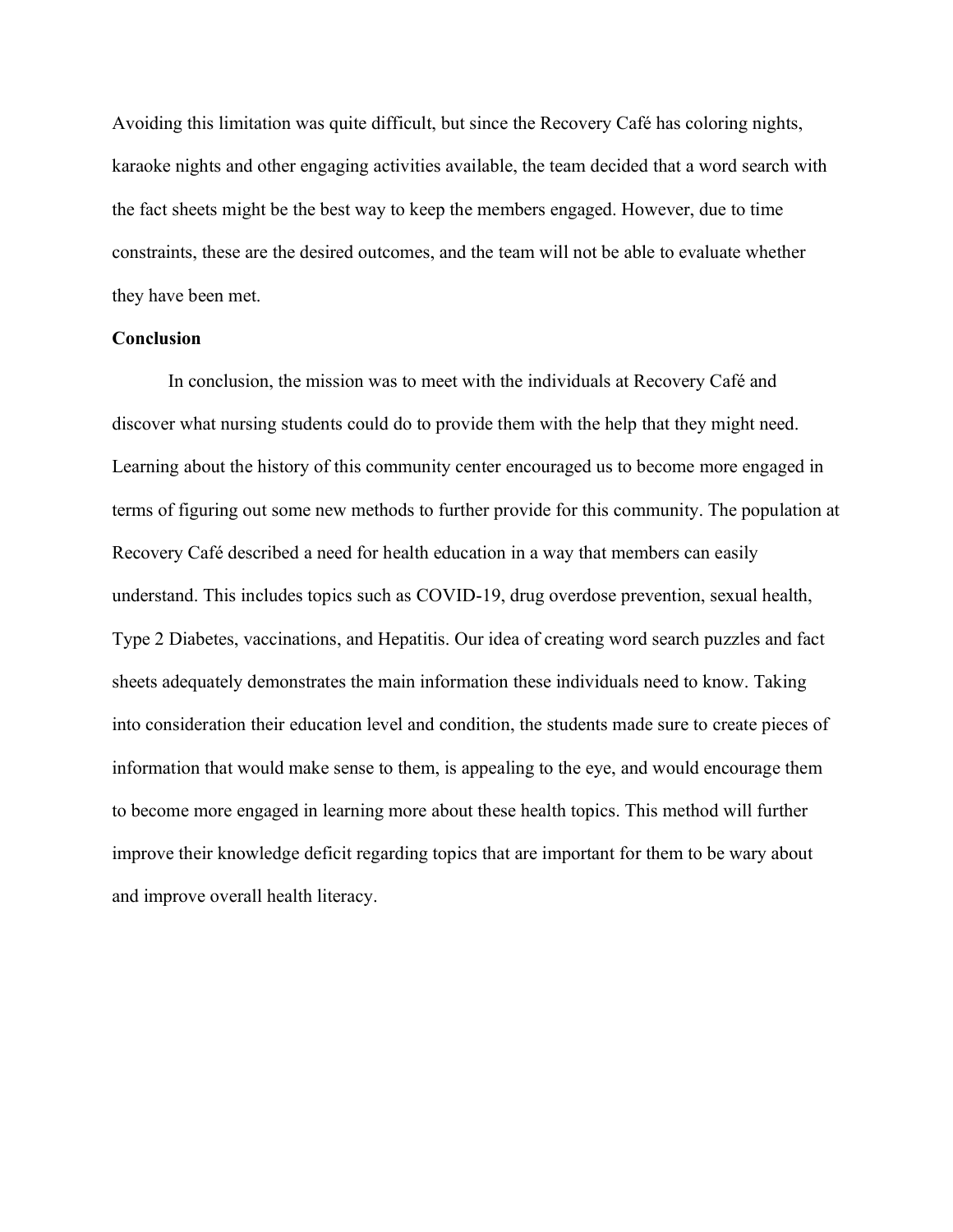Avoiding this limitation was quite difficult, but since the Recovery Café has coloring nights, karaoke nights and other engaging activities available, the team decided that a word search with the fact sheets might be the best way to keep the members engaged. However, due to time constraints, these are the desired outcomes, and the team will not be able to evaluate whether they have been met.

# **Conclusion**

In conclusion, the mission was to meet with the individuals at Recovery Café and discover what nursing students could do to provide them with the help that they might need. Learning about the history of this community center encouraged us to become more engaged in terms of figuring out some new methods to further provide for this community. The population at Recovery Café described a need for health education in a way that members can easily understand. This includes topics such as COVID-19, drug overdose prevention, sexual health, Type 2 Diabetes, vaccinations, and Hepatitis. Our idea of creating word search puzzles and fact sheets adequately demonstrates the main information these individuals need to know. Taking into consideration their education level and condition, the students made sure to create pieces of information that would make sense to them, is appealing to the eye, and would encourage them to become more engaged in learning more about these health topics. This method will further improve their knowledge deficit regarding topics that are important for them to be wary about and improve overall health literacy.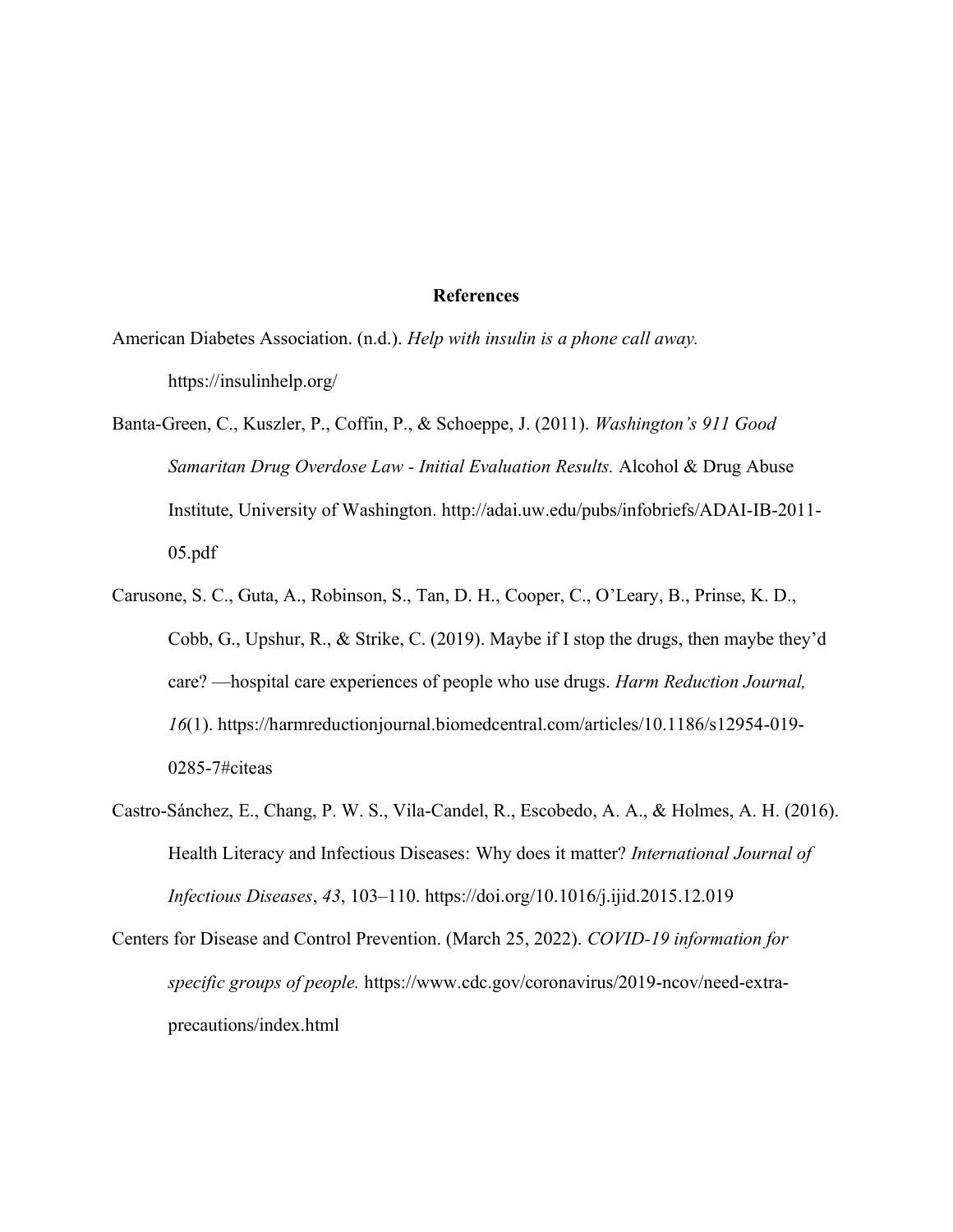#### **References**

- American Diabetes Association. (n.d.). *Help with insulin is a phone call away.*  <https://insulinhelp.org/>
- Banta-Green, C., Kuszler, P., Coffin, P., & Schoeppe, J. (2011). *Washington's 911 Good Samaritan Drug Overdose Law - Initial Evaluation Results.* Alcohol & Drug Abuse Institute, University of Washington. [http://adai.uw.edu/pubs/infobriefs/ADAI-IB-2011-](http://adai.uw.edu/pubs/infobriefs/ADAI-IB-2011-05.pdf) [05.pdf](http://adai.uw.edu/pubs/infobriefs/ADAI-IB-2011-05.pdf)
- Carusone, S. C., Guta, A., Robinson, S., Tan, D. H., Cooper, C., O'Leary, B., Prinse, K. D., Cobb, G., Upshur, R., & Strike, C. (2019). Maybe if I stop the drugs, then maybe they'd care? —hospital care experiences of people who use drugs. *Harm Reduction Journal*, *16*(1). [https://harmreductionjournal.biomedcentral.com/articles/10.1186/s12954-019-](https://harmreductionjournal.biomedcentral.com/articles/10.1186/s12954-019-0285-7%23citeas) [0285-7#citeas](https://harmreductionjournal.biomedcentral.com/articles/10.1186/s12954-019-0285-7%23citeas)
- Castro-Sánchez, E., Chang, P. W. S., Vila-Candel, R., Escobedo, A. A., & Holmes, A. H. (2016). Health Literacy and Infectious Diseases: Why does it matter? *International Journal of Infectious Diseases, 43, 103-110.<https://doi.org/10.1016/j.ijid.2015.12.019>*
- Centers for Disease and Control Prevention. (March 25, 2022). *COVID-19 information for specific groups of people.* [https://www.cdc.gov/coronavirus/2019-ncov/need-extra](https://www.cdc.gov/coronavirus/2019-ncov/need-extra-precautions/index.html)precautions/index.html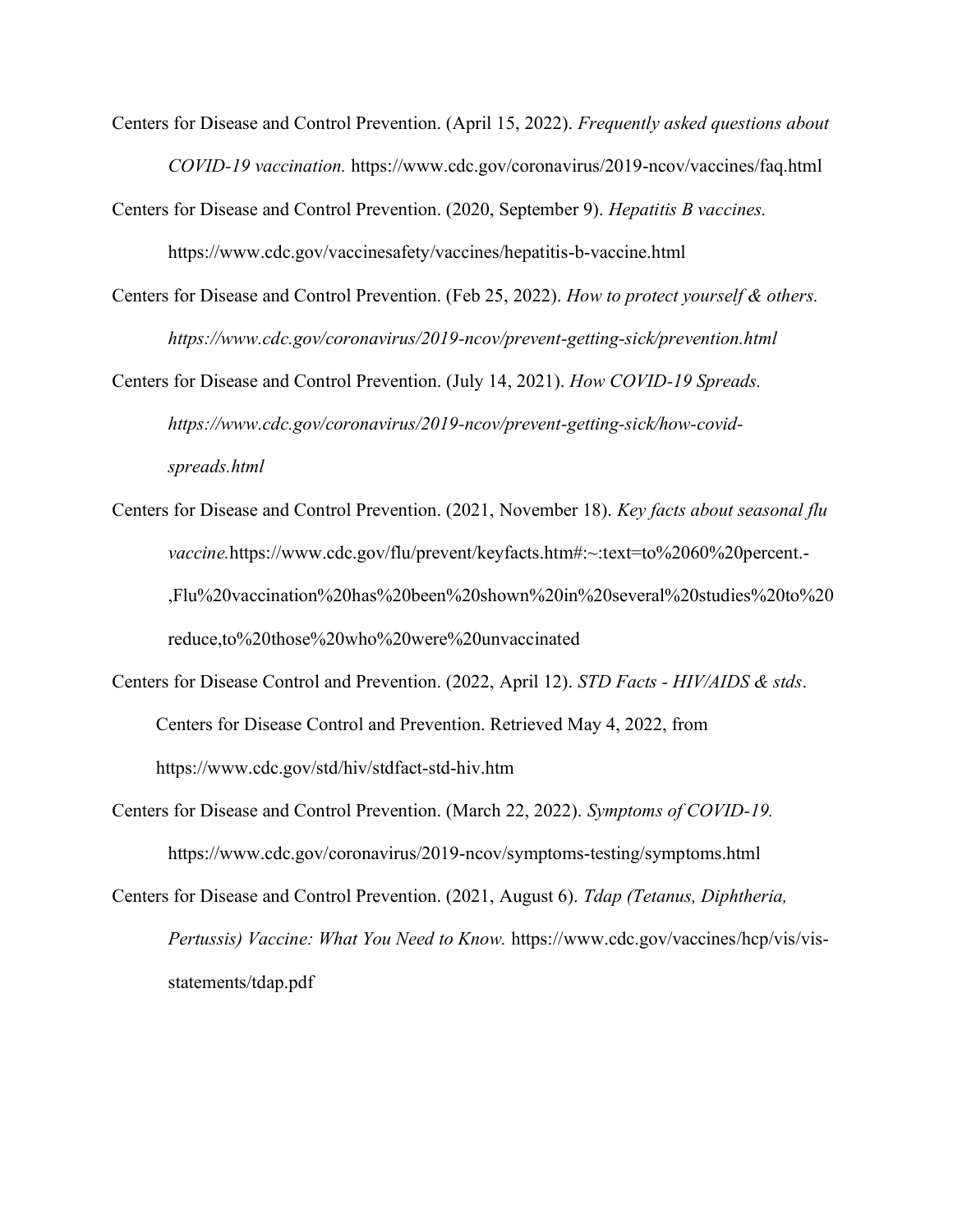- Centers for Disease and Control Prevention. (April 15, 2022). *Frequently asked questions about COVID-19 vaccination.* <https://www.cdc.gov/coronavirus/2019-ncov/vaccines/faq.html>
- Centers for Disease and Control Prevention. (2020, September 9). *Hepatitis B vaccines.* <https://www.cdc.gov/vaccinesafety/vaccines/hepatitis-b-vaccine.html>
- Centers for Disease and Control Prevention. (Feb 25, 2022). *How to protect yourself & others. <https://www.cdc.gov/coronavirus/2019-ncov/prevent-getting-sick/prevention.html>*

Centers for Disease and Control Prevention. (July 14, 2021). *How COVID-19 Spreads. [https://www.cdc.gov/coronavirus/2019-ncov/prevent-getting-sick/how-covid](https://www.cdc.gov/coronavirus/2019-ncov/prevent-getting-sick/how-covid-spreads.html)spreads.html*

- Centers for Disease and Control Prevention. (2021, November 18). *Key facts about seasonal flu vaccine.*[https://www.cdc.gov/flu/prevent/keyfacts.htm#:~:text=to%2060%20percent.-](https://www.cdc.gov/flu/prevent/keyfacts.htm%23:~:text=to%2060%20percent.-,Flu%20vaccination%20has%20been%20shown%20in%20several%20studies%20to%20reduce,to%20those%20who%20were%20unvaccinated) [,Flu%20vaccination%20has%20been%20shown%20in%20several%20studies%20to%20](https://www.cdc.gov/flu/prevent/keyfacts.htm%23:~:text=to%2060%20percent.-,Flu%20vaccination%20has%20been%20shown%20in%20several%20studies%20to%20reduce,to%20those%20who%20were%20unvaccinated) [reduce,to%20those%20who%20were%20unvaccinated](https://www.cdc.gov/flu/prevent/keyfacts.htm%23:~:text=to%2060%20percent.-,Flu%20vaccination%20has%20been%20shown%20in%20several%20studies%20to%20reduce,to%20those%20who%20were%20unvaccinated)
- Centers for Disease Control and Prevention. (2022, April 12). *STD Facts - HIV/AIDS & stds*. Centers for Disease Control and Prevention. Retrieved May 4, 2022, from <https://www.cdc.gov/std/hiv/stdfact-std-hiv.htm>
- Centers for Disease and Control Prevention. (March 22, 2022). *Symptoms of COVID-19.*  <https://www.cdc.gov/coronavirus/2019-ncov/symptoms-testing/symptoms.html>

Centers for Disease and Control Prevention. (2021, August 6). *Tdap (Tetanus, Diphtheria, Pertussis) Vaccine: What You Need to Know.* [https://www.cdc.gov/vaccines/hcp/vis/vis](https://www.cdc.gov/vaccines/hcp/vis/vis-statements/tdap.pdf)[statements/tdap.pdf](https://www.cdc.gov/vaccines/hcp/vis/vis-statements/tdap.pdf)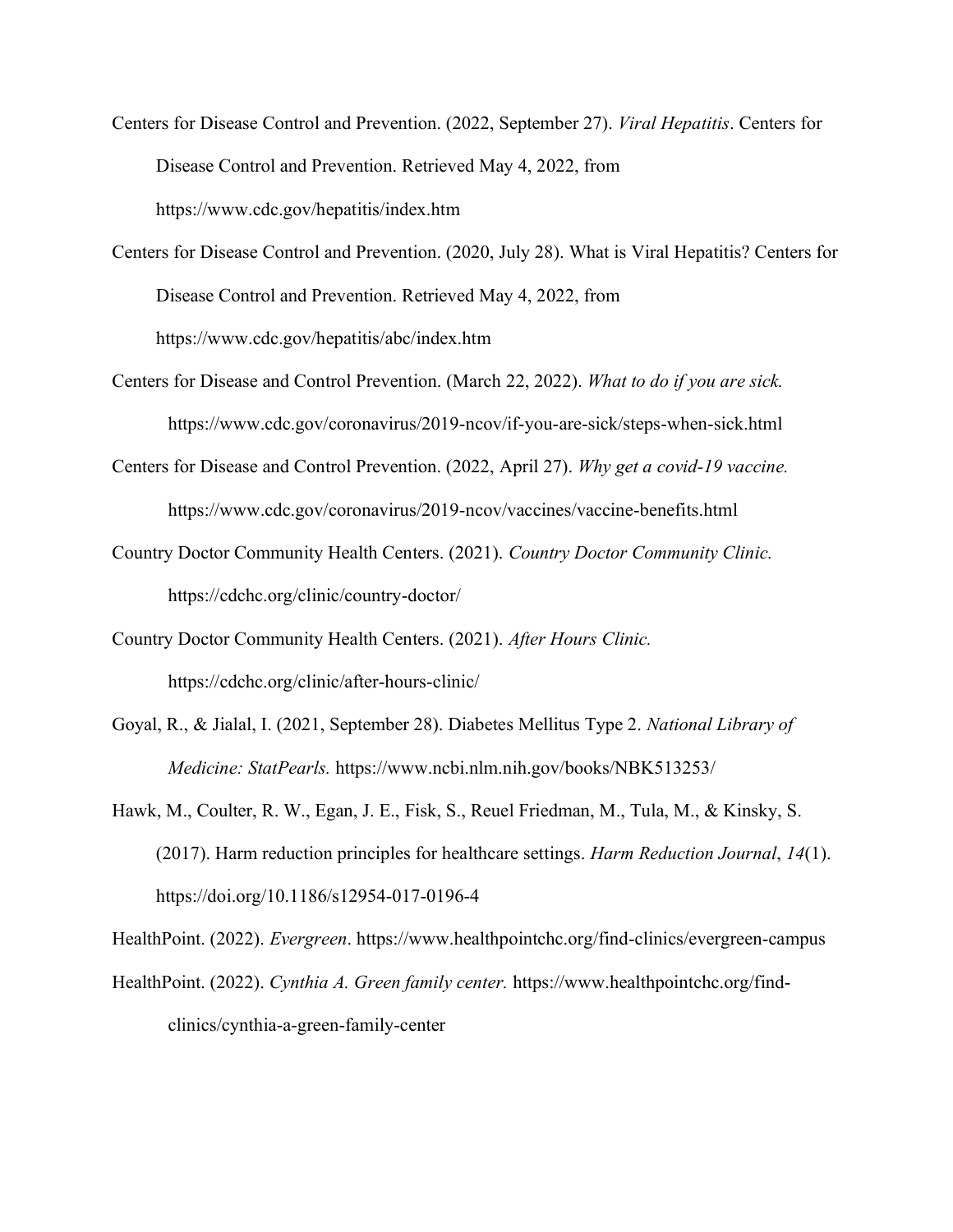- Centers for Disease Control and Prevention. (2022, September 27). *Viral Hepatitis*. Centers for Disease Control and Prevention. Retrieved May 4, 2022, from <https://www.cdc.gov/hepatitis/index.htm>
- Centers for Disease Control and Prevention. (2020, July 28). What is Viral Hepatitis? Centers for Disease Control and Prevention. Retrieved May 4, 2022, from <https://www.cdc.gov/hepatitis/abc/index.htm>
- Centers for Disease and Control Prevention. (March 22, 2022). *What to do if you are sick.* <https://www.cdc.gov/coronavirus/2019-ncov/if-you-are-sick/steps-when-sick.html>
- Centers for Disease and Control Prevention. (2022, April 27). *Why get a covid-19 vaccine.* <https://www.cdc.gov/coronavirus/2019-ncov/vaccines/vaccine-benefits.html>
- Country Doctor Community Health Centers. (2021). *Country Doctor Community Clinic.*  <https://cdchc.org/clinic/country-doctor/>
- Country Doctor Community Health Centers. (2021). *After Hours Clinic.*  <https://cdchc.org/clinic/after-hours-clinic/>
- Goyal, R., & Jialal, I. (2021, September 28). Diabetes Mellitus Type 2. *National Library of Medicine: StatPearls.* <https://www.ncbi.nlm.nih.gov/books/NBK513253/>
- Hawk, M., Coulter, R. W., Egan, J. E., Fisk, S., Reuel Friedman, M., Tula, M., & Kinsky, S. (2017). Harm reduction principles for healthcare settings. *Harm Reduction Journal*, *14*(1). <https://doi.org/10.1186/s12954-017-0196-4>

HealthPoint. (2022). *Evergreen*.<https://www.healthpointchc.org/find-clinics/evergreen-campus>

HealthPoint. (2022). *Cynthia A. Green family center.* [https://www.healthpointchc.org/find](https://www.healthpointchc.org/find-clinics/cynthia-a-green-family-center)[clinics/cynthia-a-green-family-center](https://www.healthpointchc.org/find-clinics/cynthia-a-green-family-center)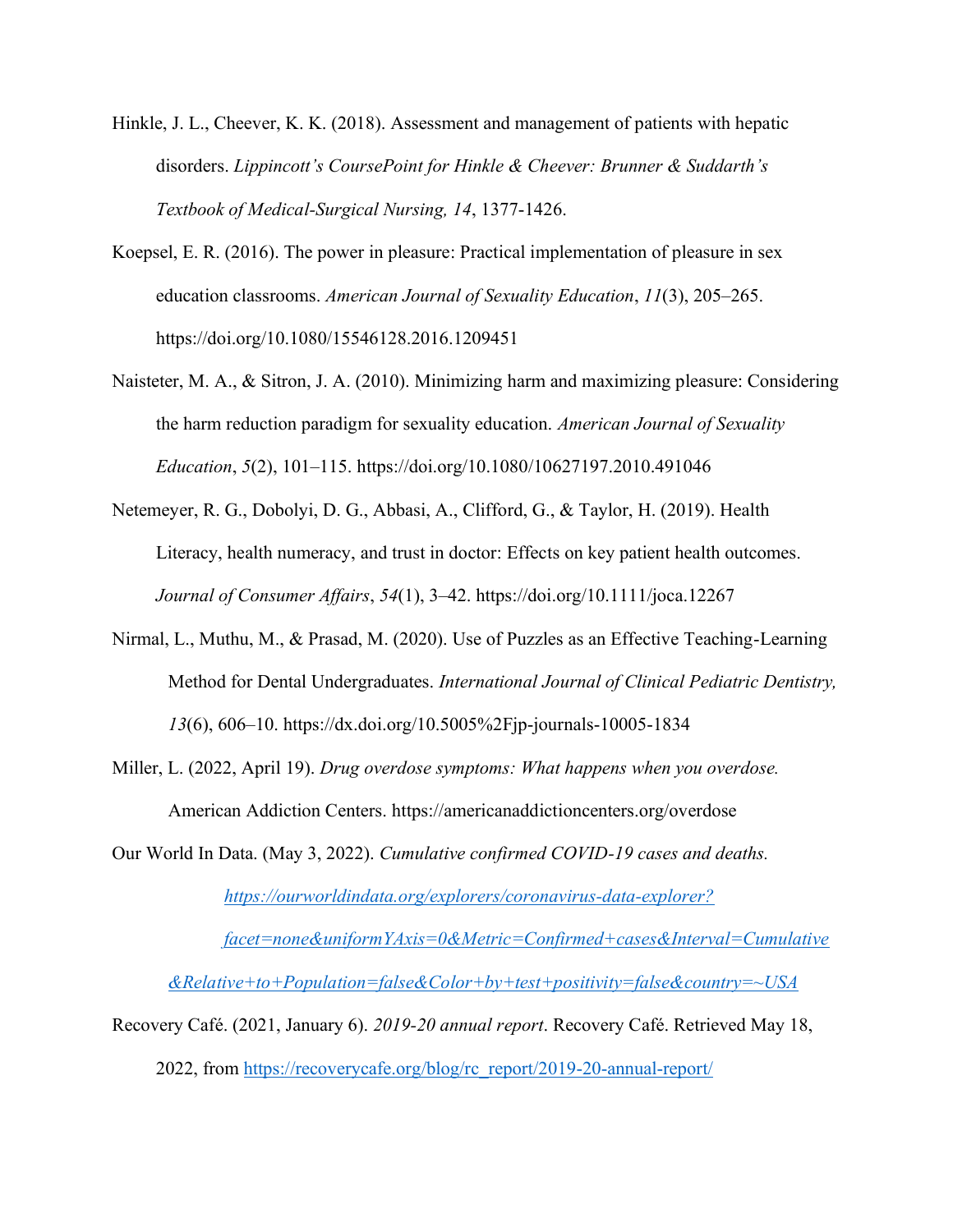- Hinkle, J. L., Cheever, K. K. (2018). Assessment and management of patients with hepatic disorders. *Lippincott's CoursePoint for Hinkle & Cheever: Brunner & Suddarth's Textbook of Medical-Surgical Nursing, 14*, 1377-1426.
- Koepsel, E. R. (2016). The power in pleasure: Practical implementation of pleasure in sex education classrooms. *American Journal of Sexuality Education*, *11*(3), 205–265. <https://doi.org/10.1080/15546128.2016.1209451>
- Naisteter, M. A., & Sitron, J. A. (2010). Minimizing harm and maximizing pleasure: Considering the harm reduction paradigm for sexuality education. *American Journal of Sexuality Education*, *5*(2), 101-115.<https://doi.org/10.1080/10627197.2010.491046>
- Netemeyer, R. G., Dobolyi, D. G., Abbasi, A., Clifford, G., & Taylor, H. (2019). Health Literacy, health numeracy, and trust in doctor: Effects on key patient health outcomes. *Journal of Consumer Affairs*, *54*(1), 3±42. https://doi.org/10.1111/joca.12267
- Nirmal, L., Muthu, M., & Prasad, M. (2020). Use of Puzzles as an Effective Teaching-Learning Method for Dental Undergraduates. *International Journal of Clinical Pediatric Dentistry, 13*(6), 606–10. https://dx.doi.org/10.5005%2Fjp-journals-10005-1834
- Miller, L. (2022, April 19). *Drug overdose symptoms: What happens when you overdose.*  American Addiction Centers.<https://americanaddictioncenters.org/overdose>

Our World In Data. (May 3, 2022). *Cumulative confirmed COVID-19 cases and deaths. [https://ourworldindata.org/explorers/coronavirus-data-explorer?](https://ourworldindata.org/explorers/coronavirus-data-explorer?facet=none&uniformYAxis=0&Metric=Confirmed+cases&Interval=Cumulative&Relative+to+Population=false&Color+by+test+positivity=false&country=~USA) [facet=none&uniformYAxis=0&Metric=Confirmed+cases&Interval=Cumulative](https://ourworldindata.org/explorers/coronavirus-data-explorer?facet=none&uniformYAxis=0&Metric=Confirmed+cases&Interval=Cumulative&Relative+to+Population=false&Color+by+test+positivity=false&country=~USA) [&Relative+to+Population=false&Color+by+test+positivity=false&country=~USA](https://ourworldindata.org/explorers/coronavirus-data-explorer?facet=none&uniformYAxis=0&Metric=Confirmed+cases&Interval=Cumulative&Relative+to+Population=false&Color+by+test+positivity=false&country=~USA)*

Recovery Café. (2021, January 6). *2019-20 annual report*. Recovery Café. Retrieved May 18, 2022, from [https://recoverycafe.org/blog/rc\\_report/2019-20-annual-report/](https://recoverycafe.org/blog/rc_report/2019-20-annual-report/)